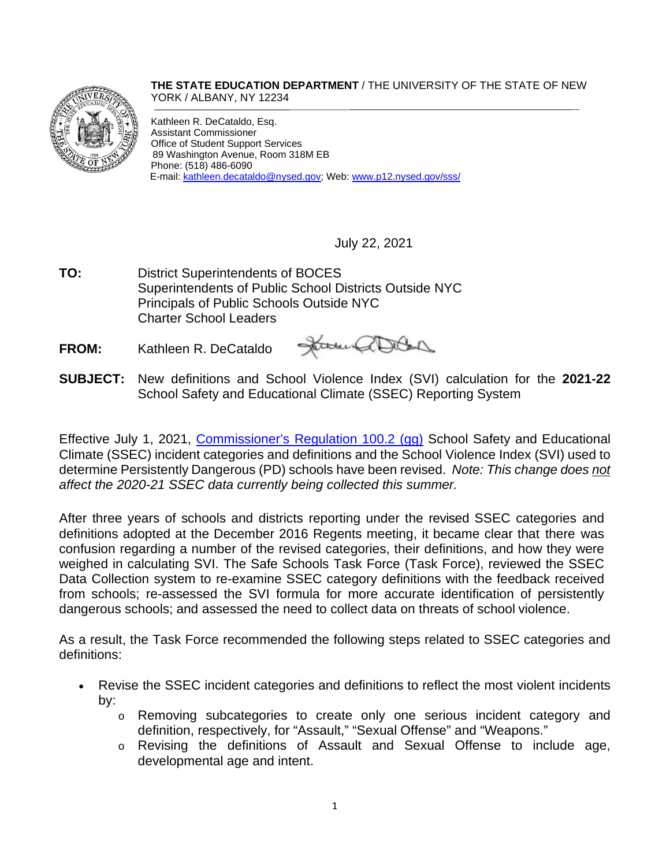**THE STATE EDUCATION DEPARTMENT** / THE UNIVERSITY OF THE STATE OF NEW YORK / ALBANY, NY 12234



Kathleen R. DeCataldo, Esq. Assistant Commissioner Office of Student Support Services 89 Washington Avenue, Room 318M EB Phone: (518) 486-6090 E-mail[: kathleen.decataldo@nysed.gov;](mailto:kathleen.decataldo@nysed.gov) Web[: www.p12.nysed.gov/sss/](http://www.p12.nysed.gov/sss/)

July 22, 2021

**TO:** District Superintendents of BOCES Superintendents of Public School Districts Outside NYC Principals of Public Schools Outside NYC Charter School Leaders

**FROM:** Kathleen R. DeCataldo

Janus allan

**SUBJECT:** New definitions and School Violence Index (SVI) calculation for the **2021-22** School Safety and Educational Climate (SSEC) Reporting System

Effective July 1, 2021, Commissioner's [Regulation 100.2](http://www.p12.nysed.gov/sss/documents/SSECregs100.2ggupdated7.1.21.pdf) (gg) School Safety and Educational Climate (SSEC) incident categories and definitions and the School Violence Index (SVI) used to determine Persistently Dangerous (PD) schools have been revised. *Note: This change does not affect the 2020-21 SSEC data currently being collected this summer.* 

After three years of schools and districts reporting under the revised SSEC categories and definitions adopted at the December 2016 Regents meeting, it became clear that there was confusion regarding a number of the revised categories, their definitions, and how they were weighed in calculating SVI. The Safe Schools Task Force (Task Force), reviewed the SSEC Data Collection system to re-examine SSEC category definitions with the feedback received from schools; re-assessed the SVI formula for more accurate identification of persistently dangerous schools; and assessed the need to collect data on threats of school violence.

As a result, the Task Force recommended the following steps related to SSEC categories and definitions:

- Revise the SSEC incident categories and definitions to reflect the most violent incidents by:
	- o Removing subcategories to create only one serious incident category and definition, respectively, for "Assault," "Sexual Offense" and "Weapons."
	- o Revising the definitions of Assault and Sexual Offense to include age, developmental age and intent.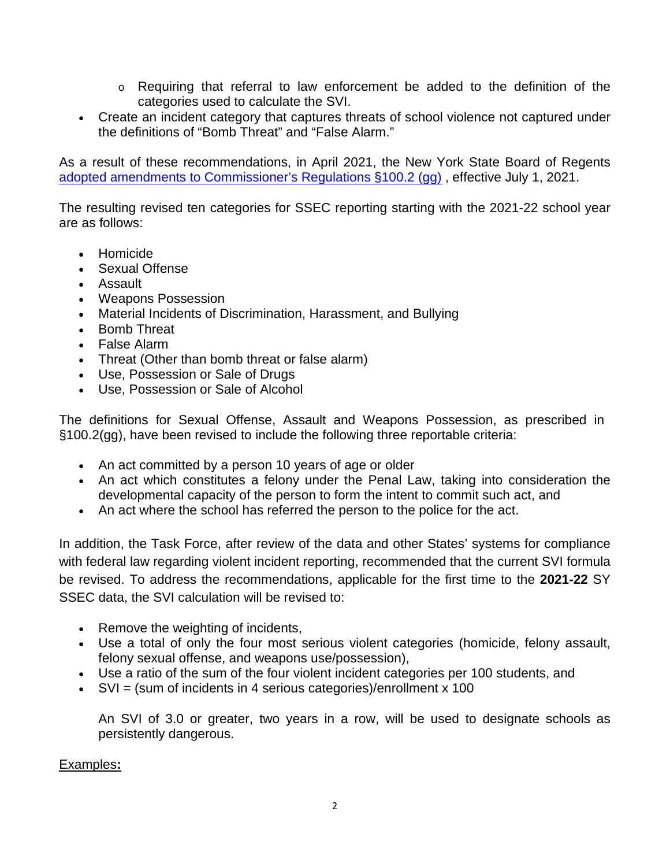- $\circ$  Requiring that referral to law enforcement be added to the definition of the categories used to calculate the SVI.
- Create an incident category that captures threats of school violence not captured under the definitions of "Bomb Threat" and "False Alarm."

As a result of these recommendations, in April 2021, the New York State Board of Regents [adopted amendments to Commissioner's Regulations §100.2 \(gg\)](https://www.regents.nysed.gov/common/regents/files/4211brca12.pdf) , effective July 1, 2021.

The resulting revised ten categories for SSEC reporting starting with the 2021-22 school year are as follows:

- Homicide
- Sexual Offense
- Assault
- Weapons Possession
- Material Incidents of Discrimination, Harassment, and Bullying
- Bomb Threat
- False Alarm
- Threat (Other than bomb threat or false alarm)
- Use, Possession or Sale of Drugs
- Use, Possession or Sale of Alcohol

The definitions for Sexual Offense, Assault and Weapons Possession, as prescribed in §100.2(gg), have been revised to include the following three reportable criteria:

- An act committed by a person 10 years of age or older
- An act which constitutes a felony under the Penal Law, taking into consideration the developmental capacity of the person to form the intent to commit such act, and
- An act where the school has referred the person to the police for the act.

In addition, the Task Force, after review of the data and other States' systems for compliance with federal law regarding violent incident reporting, recommended that the current SVI formula be revised. To address the recommendations, applicable for the first time to the **2021-22** SY SSEC data, the SVI calculation will be revised to:

- Remove the weighting of incidents,
- Use a total of only the four most serious violent categories (homicide, felony assault, felony sexual offense, and weapons use/possession),
- Use a ratio of the sum of the four violent incident categories per 100 students, and
- SVI = (sum of incidents in 4 serious categories)/enrollment x 100

An SVI of 3.0 or greater, two years in a row, will be used to designate schools as persistently dangerous.

## Examples**:**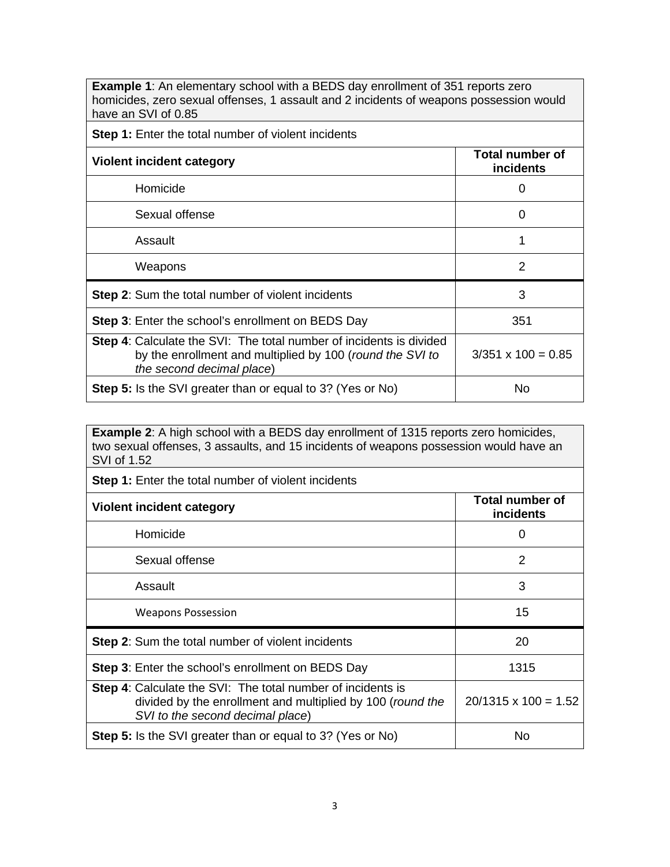**Example 1**: An elementary school with a BEDS day enrollment of 351 reports zero homicides, zero sexual offenses, 1 assault and 2 incidents of weapons possession would have an SVI of 0.85

**Step 1:** Enter the total number of violent incidents

| <b>Violent incident category</b>                                                                                                                                     | Total number of<br><b>incidents</b> |
|----------------------------------------------------------------------------------------------------------------------------------------------------------------------|-------------------------------------|
| Homicide                                                                                                                                                             | 0                                   |
| Sexual offense                                                                                                                                                       | 0                                   |
| Assault                                                                                                                                                              |                                     |
| Weapons                                                                                                                                                              | 2                                   |
| <b>Step 2:</b> Sum the total number of violent incidents                                                                                                             | 3                                   |
| <b>Step 3:</b> Enter the school's enrollment on BEDS Day                                                                                                             | 351                                 |
| <b>Step 4:</b> Calculate the SVI: The total number of incidents is divided<br>by the enrollment and multiplied by 100 (round the SVI to<br>the second decimal place) | $3/351 \times 100 = 0.85$           |
| <b>Step 5:</b> Is the SVI greater than or equal to 3? (Yes or No)                                                                                                    | No                                  |

**Example 2**: A high school with a BEDS day enrollment of 1315 reports zero homicides, two sexual offenses, 3 assaults, and 15 incidents of weapons possession would have an SVI of 1.52

| <b>Step 1:</b> Enter the total number of violent incidents                                                                                                           |                                     |
|----------------------------------------------------------------------------------------------------------------------------------------------------------------------|-------------------------------------|
| Violent incident category                                                                                                                                            | <b>Total number of</b><br>incidents |
| Homicide                                                                                                                                                             | 0                                   |
| Sexual offense                                                                                                                                                       | 2                                   |
| Assault                                                                                                                                                              | 3                                   |
| <b>Weapons Possession</b>                                                                                                                                            | 15                                  |
| <b>Step 2:</b> Sum the total number of violent incidents                                                                                                             | 20                                  |
| <b>Step 3:</b> Enter the school's enrollment on BEDS Day                                                                                                             | 1315                                |
| <b>Step 4:</b> Calculate the SVI: The total number of incidents is<br>divided by the enrollment and multiplied by 100 (round the<br>SVI to the second decimal place) | $20/1315 \times 100 = 1.52$         |
| <b>Step 5:</b> Is the SVI greater than or equal to 3? (Yes or No)                                                                                                    | No                                  |